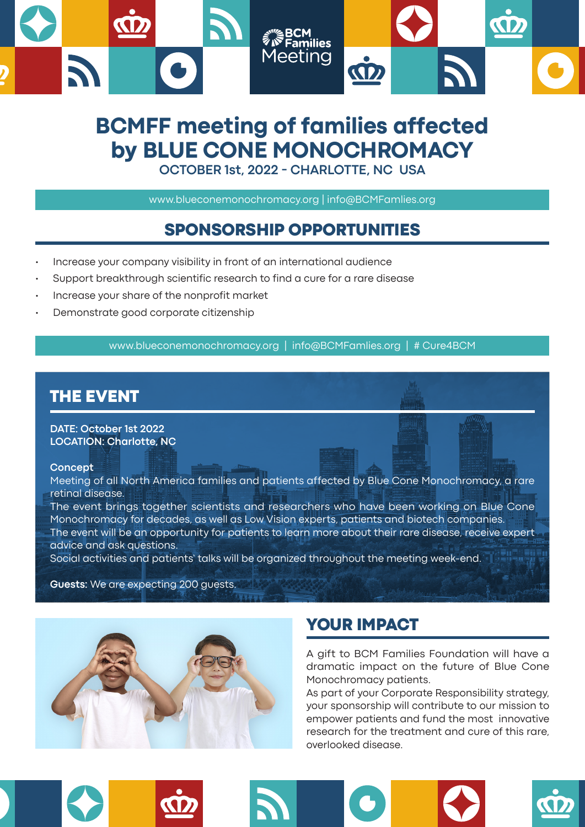

# **BCMFF meeting of families affected by BLUE CONE MONOCHROMACY**

**OCTOBER 1st, 2022 - CHARLOTTE, NC USA**

www.blueconemonochromacy.org | info@BCMFamlies.org

### SPONSORSHIP OPPORTUNITIES

- Increase your company visibility in front of an international audience
- Support breakthrough scientific research to find a cure for a rare disease
- Increase your share of the nonprofit market
- Demonstrate good corporate citizenship

www.blueconemonochromacy.org | info@BCMFamlies.org | # Cure4BCM

### THE EVENT

**DATE: October 1st 2022 LOCATION: Charlotte, NC**

#### **Concept**

Meeting of all North America families and patients affected by Blue Cone Monochromacy, a rare retinal disease.

The event brings together scientists and researchers who have been working on Blue Cone Monochromacy for decades, as well as Low Vision experts, patients and biotech companies. The event will be an opportunity for patients to learn more about their rare disease, receive expert advice and ask questions.

Social activities and patients' talks will be organized throughout the meeting week-end.

#### **Guests:** We are expecting 200 guests.



## YOUR IMPACT

A gift to BCM Families Foundation will have a dramatic impact on the future of Blue Cone Monochromacy patients.

As part of your Corporate Responsibility strategy, your sponsorship will contribute to our mission to empower patients and fund the most innovative research for the treatment and cure of this rare, overlooked disease.